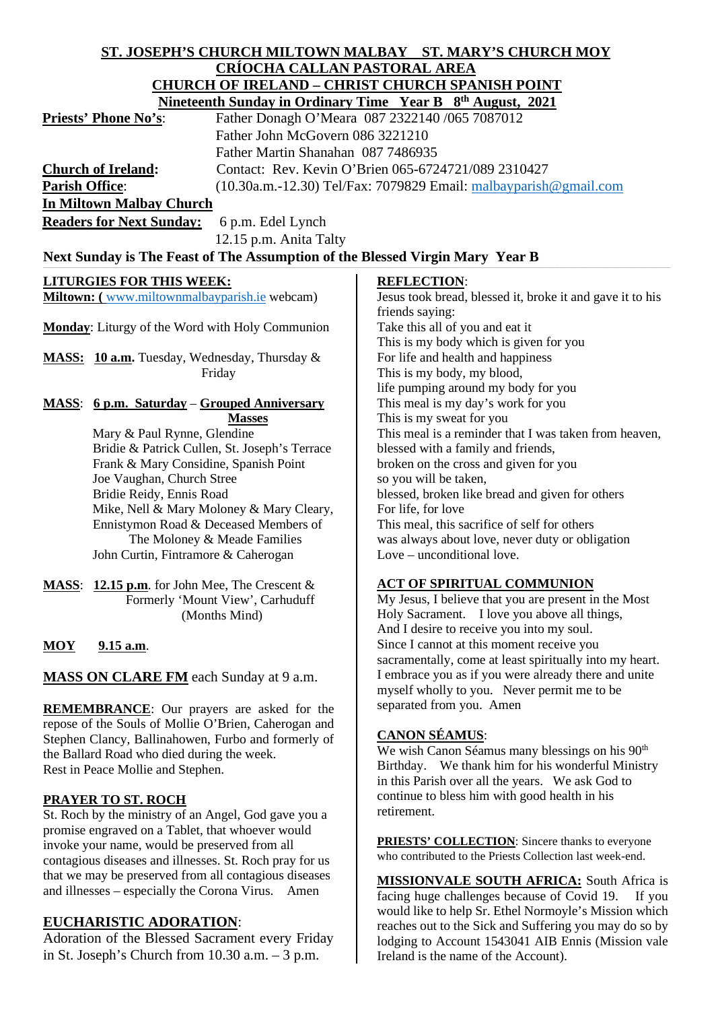#### **ST. JOSEPH'S CHURCH MILTOWN MALBAY ST. MARY'S CHURCH MOY CRÍOCHA CALLAN PASTORAL AREA CHURCH OF IRELAND – CHRIST CHURCH SPANISH POINT Ningtoenth Sunday in Ordinary Time Year B 8th August**

|                                 | <b>Nineteenth Sunday in Orginary Three Fear B</b> $\sigma$ <sup>-</sup> August, 2021 |
|---------------------------------|--------------------------------------------------------------------------------------|
| <b>Priests' Phone No's:</b>     | Father Donagh O'Meara 087 2322140 /065 7087012                                       |
|                                 | Father John McGovern 086 3221210                                                     |
|                                 | Father Martin Shanahan 087 7486935                                                   |
| <b>Church of Ireland:</b>       | Contact: Rev. Kevin O'Brien 065-6724721/089 2310427                                  |
| <b>Parish Office:</b>           | $(10.30a.m.-12.30)$ Tel/Fax: 7079829 Email: malbayparish @gmail.com                  |
| <b>In Miltown Malbay Church</b> |                                                                                      |

**Readers for Next Sunday:** 6 p.m. Edel Lynch 12.15 p.m. Anita Talty

# Next Sunday is The Feast of The Assumption of the Blessed Virgin Mary Year B

# **LITURGIES FOR THIS WEEK:**

**Miltown: (** [www.miltownmalbayparish.ie](http://www.miltownmalbayparish.ie/) webcam)

**Monday**: Liturgy of the Word with Holy Communion

**MASS: 10 a.m.** Tuesday, Wednesday, Thursday & Friday

#### **MASS**: **6 p.m. Saturday** – **Grouped Anniversary Masses**

 Mary & Paul Rynne, Glendine Bridie & Patrick Cullen, St. Joseph's Terrace Frank & Mary Considine, Spanish Point Joe Vaughan, Church Stree Bridie Reidy, Ennis Road Mike, Nell & Mary Moloney & Mary Cleary, Ennistymon Road & Deceased Members of The Moloney & Meade Families John Curtin, Fintramore & Caherogan

**MASS**: **12.15 p.m**. for John Mee, The Crescent & Formerly 'Mount View', Carhuduff (Months Mind)

# **MOY 9.15 a.m**.

**MASS ON CLARE FM** each Sunday at 9 a.m.

**REMEMBRANCE**: Our prayers are asked for the repose of the Souls of Mollie O'Brien, Caherogan and Stephen Clancy, Ballinahowen, Furbo and formerly of the Ballard Road who died during the week. Rest in Peace Mollie and Stephen.

### **PRAYER TO ST. ROCH**

St. Roch by the ministry of an Angel, God gave you a promise engraved on a Tablet, that whoever would invoke your name, would be preserved from all contagious diseases and illnesses. St. Roch pray for us that we may be preserved from all contagious diseases and illnesses – especially the Corona Virus. Amen

# **EUCHARISTIC ADORATION**:

Adoration of the Blessed Sacrament every Friday in St. Joseph's Church from 10.30 a.m. – 3 p.m.

### **REFLECTION**:

Jesus took bread, blessed it, broke it and gave it to his friends saying: Take this all of you and eat it This is my body which is given for you For life and health and happiness This is my body, my blood, life pumping around my body for you This meal is my day's work for you This is my sweat for you This meal is a reminder that I was taken from heaven, blessed with a family and friends, broken on the cross and given for you so you will be taken, blessed, broken like bread and given for others For life, for love This meal, this sacrifice of self for others was always about love, never duty or obligation Love – unconditional love.

### **ACT OF SPIRITUAL COMMUNION**

My Jesus, I believe that you are present in the Most Holy Sacrament. I love you above all things, And I desire to receive you into my soul. Since I cannot at this moment receive you sacramentally, come at least spiritually into my heart. I embrace you as if you were already there and unite myself wholly to you. Never permit me to be separated from you. Amen

# **CANON SÉAMUS**:

We wish Canon Séamus many blessings on his 90<sup>th</sup> Birthday. We thank him for his wonderful Ministry in this Parish over all the years. We ask God to continue to bless him with good health in his retirement.

**PRIESTS' COLLECTION:** Sincere thanks to everyone who contributed to the Priests Collection last week-end.

**MISSIONVALE SOUTH AFRICA:** South Africa is facing huge challenges because of Covid 19. If you would like to help Sr. Ethel Normoyle's Mission which reaches out to the Sick and Suffering you may do so by lodging to Account 1543041 AIB Ennis (Mission vale Ireland is the name of the Account).